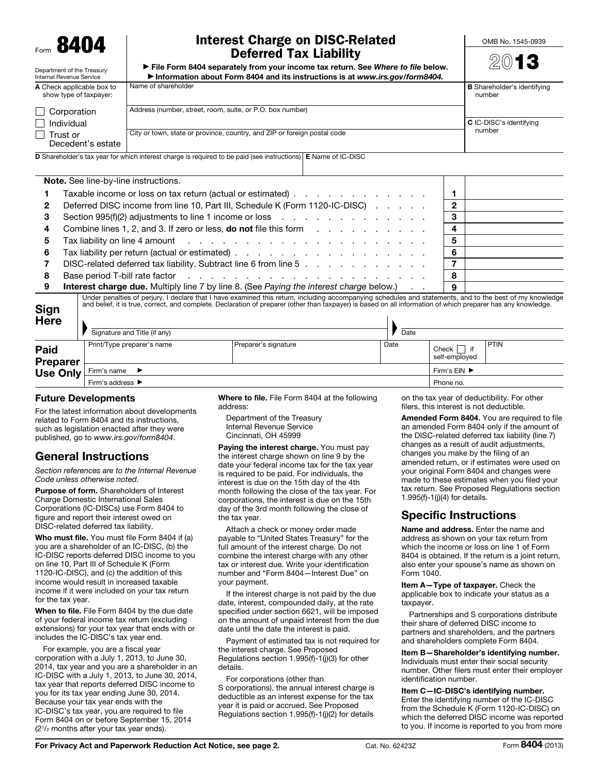

Department of the Treasury

## Interest Charge on DISC-Related Deferred Tax Liability

OMB No. 1545-0939

| ► File Form 8404 separately from your income tax return. See Where to file below. |
|-----------------------------------------------------------------------------------|
| Information about Form 8404 and its instructions is at www.irs.gov/form8404.      |

|  | ٠ |  | ۰ |  |
|--|---|--|---|--|

| Internal Revenue Service                                                                                                     | l Information about Form 8404 and its instructions is at www.irs.gov/form8404. |                                              |  |  |  |
|------------------------------------------------------------------------------------------------------------------------------|--------------------------------------------------------------------------------|----------------------------------------------|--|--|--|
| A Check applicable box to<br>show type of taxpayer:                                                                          | Name of shareholder                                                            | <b>B</b> Shareholder's identifying<br>number |  |  |  |
| Corporation                                                                                                                  | Address (number, street, room, suite, or P.O. box number)                      |                                              |  |  |  |
| $\top$ Individual                                                                                                            |                                                                                | C IC-DISC's identifying                      |  |  |  |
| ∣ I Trust or                                                                                                                 | City or town, state or province, country, and ZIP or foreign postal code       | number                                       |  |  |  |
| Decedent's estate                                                                                                            |                                                                                |                                              |  |  |  |
| <b>D</b> Shareholder's tax year for which interest charge is required to be paid (see instructions) <b>E</b> Name of IC-DISC |                                                                                |                                              |  |  |  |

|    | Note. See line-by-line instructions.                                                                                                                                                                                           |    |  |
|----|--------------------------------------------------------------------------------------------------------------------------------------------------------------------------------------------------------------------------------|----|--|
|    | Taxable income or loss on tax return (actual or estimated)                                                                                                                                                                     |    |  |
| 2  | Deferred DISC income from line 10, Part III, Schedule K (Form 1120-IC-DISC)                                                                                                                                                    |    |  |
| 3  | Section 995(f)(2) adjustments to line 1 income or loss reference in the case of the section 995(f)(2) adjustments to line 1 income or loss                                                                                     |    |  |
| 4  | Combine lines 1, 2, and 3. If zero or less, <b>do not</b> file this form                                                                                                                                                       | 4  |  |
| 5. | Tax liability on line 4 amount enterstanding to the contract of the contract of the contract of the contract of                                                                                                                |    |  |
| 6  |                                                                                                                                                                                                                                | 6  |  |
|    | DISC-related deferred tax liability. Subtract line 6 from line 5                                                                                                                                                               |    |  |
| 8  | Base period T-bill rate factor response to response the contract of the contract of the contract of the contract of the contract of the contract of the contract of the contract of the contract of the contract of the contra | 8  |  |
| 9  | Interest charge due. Multiply line 7 by line 8. (See Paying the interest charge below.)                                                                                                                                        | -9 |  |
|    | Under penalties of periury I declare that I have examined this return including accompanying schedules and statements, and to the best of my knowledge                                                                         |    |  |

Sign Under penalties of perjury, I declare that I have examined this return, including accompanying schedules and statements, and to the best of my knowledge<br>and belief, it is true, correct, and complete. Declaration of prepare

| <b>Here</b>                    | Signature and Title (if any)         |                                    | Date      |                              |             |
|--------------------------------|--------------------------------------|------------------------------------|-----------|------------------------------|-------------|
| <b>Paid</b><br><b>Preparer</b> | Print/Type preparer's name           | Preparer's signature               | Date      | if<br>Check<br>self-employed | <b>PTIN</b> |
| Use Only                       | Firm's name                          | Firm's $EIN$ $\blacktriangleright$ |           |                              |             |
|                                | Firm's address $\blacktriangleright$ |                                    | Phone no. |                              |             |

#### Future Developments

For the latest information about developments related to Form 8404 and its instructions, such as legislation enacted after they were published, go to *www.irs.gov/form8404*.

# General Instructions

*Section references are to the Internal Revenue Code unless otherwise noted.*

Purpose of form. Shareholders of Interest Charge Domestic International Sales Corporations (IC-DISCs) use Form 8404 to figure and report their interest owed on DISC-related deferred tax liability.

Who must file. You must file Form 8404 if (a) you are a shareholder of an IC-DISC, (b) the IC-DISC reports deferred DISC income to you on line 10, Part III of Schedule K (Form 1120-IC-DISC), and (c) the addition of this income would result in increased taxable income if it were included on your tax return for the tax year.

When to file. File Form 8404 by the due date of your federal income tax return (excluding extensions) for your tax year that ends with or includes the IC-DISC's tax year end.

For example, you are a fiscal year corporation with a July 1, 2013, to June 30, 2014, tax year and you are a shareholder in an IC-DISC with a July 1, 2013, to June 30, 2014, tax year that reports deferred DISC income to you for its tax year ending June 30, 2014. Because your tax year ends with the IC-DISC's tax year, you are required to file Form 8404 on or before September 15, 2014 (21/2 months after your tax year ends).

Where to file. File Form 8404 at the following address:

Department of the Treasury Internal Revenue Service Cincinnati, OH 45999

Paving the interest charge. You must pay the interest charge shown on line 9 by the date your federal income tax for the tax year is required to be paid. For individuals, the interest is due on the 15th day of the 4th month following the close of the tax year. For corporations, the interest is due on the 15th day of the 3rd month following the close of the tax year.

Attach a check or money order made payable to "United States Treasury" for the full amount of the interest charge. Do not combine the interest charge with any other tax or interest due. Write your identification number and "Form 8404—Interest Due" on your payment.

If the interest charge is not paid by the due date, interest, compounded daily, at the rate specified under section 6621, will be imposed on the amount of unpaid interest from the due date until the date the interest is paid.

Payment of estimated tax is not required for the interest charge. See Proposed Regulations section 1.995(f)-1(j)(3) for other details.

For corporations (other than S corporations), the annual interest charge is deductible as an interest expense for the tax year it is paid or accrued. See Proposed Regulations section 1.995(f)-1(j)(2) for details

on the tax year of deductibility. For other filers, this interest is not deductible.

Amended Form 8404. You are required to file an amended Form 8404 only if the amount of the DISC-related deferred tax liability (line 7) changes as a result of audit adjustments, changes you make by the filing of an amended return, or if estimates were used on your original Form 8404 and changes were made to these estimates when you filed your tax return. See Proposed Regulations section 1.995(f)-1(j)(4) for details.

## Specific Instructions

Name and address. Enter the name and address as shown on your tax return from which the income or loss on line 1 of Form 8404 is obtained. If the return is a joint return, also enter your spouse's name as shown on Form 1040.

Item A—Type of taxpayer. Check the applicable box to indicate your status as a taxpayer.

Partnerships and S corporations distribute their share of deferred DISC income to partners and shareholders, and the partners and shareholders complete Form 8404.

Item B—Shareholder's identifying number. Individuals must enter their social security number. Other filers must enter their employer identification number.

Item C—IC-DISC's identifying number. Enter the identifying number of the IC-DISC from the Schedule K (Form 1120-IC-DISC) on which the deferred DISC income was reported to you. If income is reported to you from more